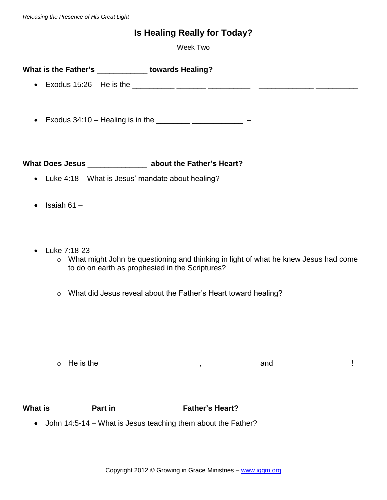## **Is Healing Really for Today?**

Week Two

| What is the Father's         | towards Healing? |
|------------------------------|------------------|
| • Exodus $15:26$ – He is the |                  |

• Exodus  $34:10 -$  Healing is in the \_\_\_\_\_\_\_\_\_\_\_\_\_\_\_\_\_\_\_\_\_\_\_\_\_\_\_\_\_\_\_ –

**What Does Jesus** \_\_\_\_\_\_\_\_\_\_\_\_\_\_ **about the Father's Heart?**

- Luke 4:18 What is Jesus' mandate about healing?
- $\bullet$  Isaiah 61 –
- Luke  $7:18-23$ 
	- o What might John be questioning and thinking in light of what he knew Jesus had come to do on earth as prophesied in the Scriptures?
	- o What did Jesus reveal about the Father's Heart toward healing?

o He is the \_\_\_\_\_\_\_\_\_ \_\_\_\_\_\_\_\_\_\_\_\_\_\_, \_\_\_\_\_\_\_\_\_\_\_\_\_ and \_\_\_\_\_\_\_\_\_\_\_\_\_\_\_\_\_\_!

**What is** \_\_\_\_\_\_\_\_\_ **Part in** \_\_\_\_\_\_\_\_\_\_\_\_\_\_\_ **Father's Heart?**

• John 14:5-14 – What is Jesus teaching them about the Father?